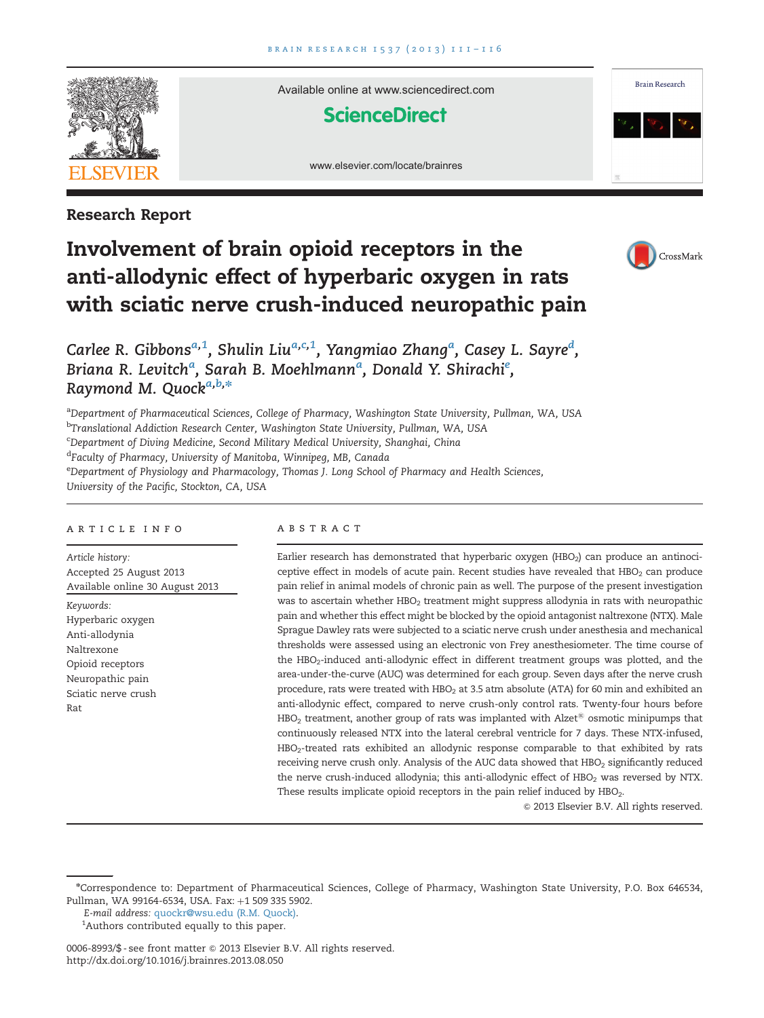

Research Report

# Available online at www.sciencedirect.com **ScienceDirect**





# Involvement of brain opioid receptors in the anti-allodynic effect of hyperbaric oxygen in rats with sciatic nerve crush-induced neuropathic pain



Carlee R. Gibbons<sup>a,1</sup>, Shulin Liu<sup>a,c,1</sup>, Yangmiao Zhang<sup>a</sup>, Casey L. Sayre<sup>d</sup>, Briana R. Levitchª, Sarah B. Moehlmannª, Donald Y. Shirachiº, Raymond M. Quock<sup>a,b,\*</sup>

<sup>a</sup>Department of Pharmaceutical Sciences, College of Pharmacy, Washington State University, Pullman, WA, USA <sup>b</sup>Translational Addiction Research Center, Washington State University, Pullman, WA, USA

<sup>c</sup>Department of Diving Medicine, Second Military Medical University, Shanghai, China

<sup>d</sup>Faculty of Pharmacy, University of Manitoba, Winnipeg, MB, Canada

e Department of Physiology and Pharmacology, Thomas J. Long School of Pharmacy and Health Sciences, University of the Pacific, Stockton, CA, USA

#### article info

Article history: Accepted 25 August 2013 Available online 30 August 2013 Keywords: Hyperbaric oxygen Anti-allodynia Naltrexone Opioid receptors Neuropathic pain Sciatic nerve crush Rat

#### **ABSTRACT**

Earlier research has demonstrated that hyperbaric oxygen (HBO<sub>2</sub>) can produce an antinociceptive effect in models of acute pain. Recent studies have revealed that  $HBO<sub>2</sub>$  can produce pain relief in animal models of chronic pain as well. The purpose of the present investigation was to ascertain whether HBO<sub>2</sub> treatment might suppress allodynia in rats with neuropathic pain and whether this effect might be blocked by the opioid antagonist naltrexone (NTX). Male Sprague Dawley rats were subjected to a sciatic nerve crush under anesthesia and mechanical thresholds were assessed using an electronic von Frey anesthesiometer. The time course of the HBO<sub>2</sub>-induced anti-allodynic effect in different treatment groups was plotted, and the area-under-the-curve (AUC) was determined for each group. Seven days after the nerve crush procedure, rats were treated with HBO<sub>2</sub> at 3.5 atm absolute (ATA) for 60 min and exhibited an anti-allodynic effect, compared to nerve crush-only control rats. Twenty-four hours before HBO<sub>2</sub> treatment, another group of rats was implanted with Alzet<sup>®</sup> osmotic minipumps that continuously released NTX into the lateral cerebral ventricle for 7 days. These NTX-infused, HBO2-treated rats exhibited an allodynic response comparable to that exhibited by rats receiving nerve crush only. Analysis of the AUC data showed that HBO<sub>2</sub> significantly reduced the nerve crush-induced allodynia; this anti-allodynic effect of HBO<sub>2</sub> was reversed by NTX. These results implicate opioid receptors in the pain relief induced by HBO<sub>2</sub>.

 $©$  2013 Elsevier B.V. All rights reserved.

n Correspondence to: Department of Pharmaceutical Sciences, College of Pharmacy, Washington State University, P.O. Box 646534, Pullman, WA 99164-6534, USA. Fax: +1 509 335 5902.

E-mail address: [quockr@wsu.edu \(R.M. Quock\).](mailto:quockr@wsu.edu)

<sup>&</sup>lt;sup>1</sup>Authors contributed equally to this paper.

<sup>0006-8993/\$ -</sup> see front matter © 2013 Elsevier B.V. All rights reserved. [http://dx.doi.org/10.1016/j.brainres.2013.08.050](dx.doi.org/10.1016/j.brainres.2013.08.050)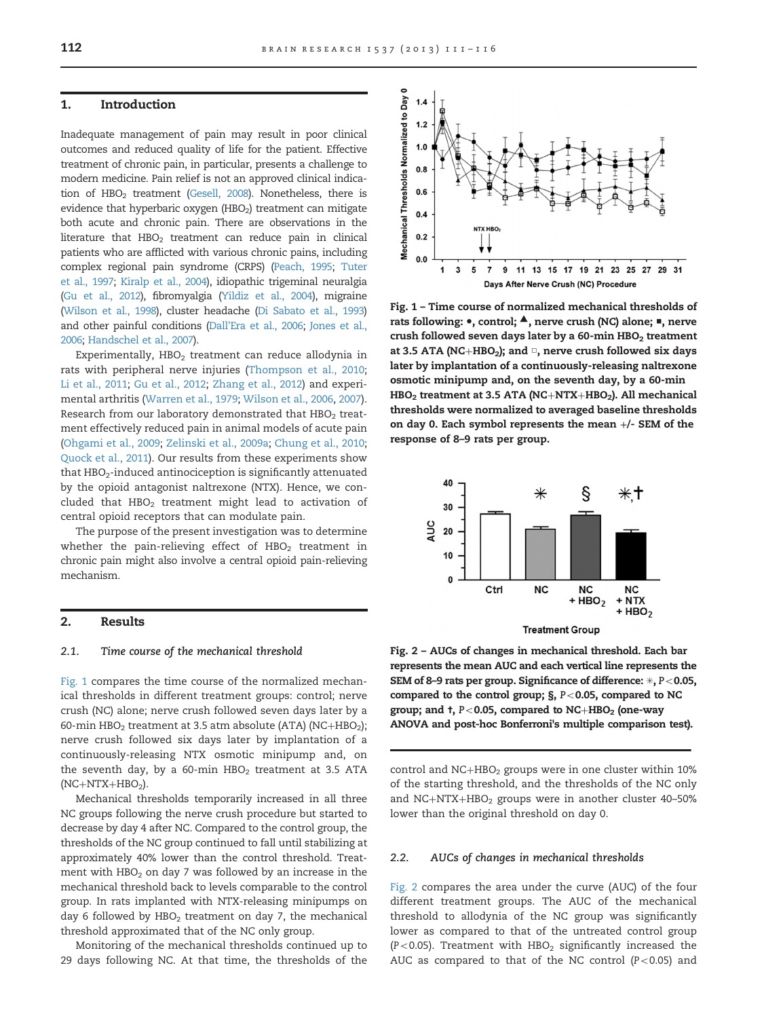#### 1. Introduction

Inadequate management of pain may result in poor clinical outcomes and reduced quality of life for the patient. Effective treatment of chronic pain, in particular, presents a challenge to modern medicine. Pain relief is not an approved clinical indication of  $HBO<sub>2</sub>$  treatment [\(Gesell, 2008\)](#page-4-0). Nonetheless, there is evidence that hyperbaric oxygen (HBO<sub>2</sub>) treatment can mitigate both acute and chronic pain. There are observations in the literature that  $HBO<sub>2</sub>$  treatment can reduce pain in clinical patients who are afflicted with various chronic pains, including complex regional pain syndrome (CRPS) ([Peach, 1995](#page-5-0); [Tuter](#page-5-0) [et al., 1997;](#page-5-0) [Kiralp et al., 2004](#page-4-0)), idiopathic trigeminal neuralgia ([Gu et al., 2012\)](#page-4-0), fibromyalgia ([Yildiz et al., 2004\)](#page-5-0), migraine ([Wilson et al., 1998\)](#page-5-0), cluster headache [\(Di Sabato et al., 1993\)](#page-4-0) and other painful conditions [\(Dall'Era et al., 2006](#page-4-0); [Jones et al.,](#page-4-0) [2006](#page-4-0); [Handschel et al., 2007\)](#page-4-0).

Experimentally,  $HBO<sub>2</sub>$  treatment can reduce allodynia in rats with peripheral nerve injuries ([Thompson et al., 2010](#page-5-0); [Li et al., 2011](#page-4-0); [Gu et al., 2012;](#page-4-0) [Zhang et al., 2012\)](#page-5-0) and experimental arthritis [\(Warren et al., 1979](#page-5-0); [Wilson et al., 2006,](#page-5-0) [2007\)](#page-5-0). Research from our laboratory demonstrated that HBO<sub>2</sub> treatment effectively reduced pain in animal models of acute pain ([Ohgami et al., 2009;](#page-4-0) [Zelinski et al., 2009a](#page-5-0); [Chung et al., 2010](#page-4-0); [Quock et al., 2011\)](#page-5-0). Our results from these experiments show that  $HBO<sub>2</sub>$ -induced antinociception is significantly attenuated by the opioid antagonist naltrexone (NTX). Hence, we concluded that  $HBO<sub>2</sub>$  treatment might lead to activation of central opioid receptors that can modulate pain.

The purpose of the present investigation was to determine whether the pain-relieving effect of  $HBO<sub>2</sub>$  treatment in chronic pain might also involve a central opioid pain-relieving mechanism.

#### 2. Results

#### 2.1. Time course of the mechanical threshold

Fig. 1 compares the time course of the normalized mechanical thresholds in different treatment groups: control; nerve crush (NC) alone; nerve crush followed seven days later by a 60-min HBO<sub>2</sub> treatment at 3.5 atm absolute (ATA) (NC+HBO<sub>2</sub>); nerve crush followed six days later by implantation of a continuously-releasing NTX osmotic minipump and, on the seventh day, by a 60-min  $HBO<sub>2</sub>$  treatment at 3.5 ATA  $(NC+NTX+HBO<sub>2</sub>).$ 

Mechanical thresholds temporarily increased in all three NC groups following the nerve crush procedure but started to decrease by day 4 after NC. Compared to the control group, the thresholds of the NC group continued to fall until stabilizing at approximately 40% lower than the control threshold. Treatment with  $HBO<sub>2</sub>$  on day 7 was followed by an increase in the mechanical threshold back to levels comparable to the control group. In rats implanted with NTX-releasing minipumps on day 6 followed by  $HBO<sub>2</sub>$  treatment on day 7, the mechanical threshold approximated that of the NC only group.

Monitoring of the mechanical thresholds continued up to 29 days following NC. At that time, the thresholds of the



Fig. 1 – Time course of normalized mechanical thresholds of rats following: ●, control; ▲, nerve crush (NC) alone; ■, nerve crush followed seven days later by a 60-min  $HBO<sub>2</sub>$  treatment at 3.5 ATA (NC+HBO<sub>2</sub>); and  $\Box$ , nerve crush followed six days later by implantation of a continuously-releasing naltrexone osmotic minipump and, on the seventh day, by a 60-min HBO<sub>2</sub> treatment at 3.5 ATA (NC+NTX+HBO<sub>2</sub>). All mechanical thresholds were normalized to averaged baseline thresholds on day 0. Each symbol represents the mean +/- SEM of the response of 8–9 rats per group.



Fig. 2 – AUCs of changes in mechanical threshold. Each bar represents the mean AUC and each vertical line represents the SEM of 8-9 rats per group. Significance of difference:  $*, P < 0.05$ , compared to the control group;  $\S$ ,  $P < 0.05$ , compared to NC group; and  $t$ ,  $P < 0.05$ , compared to NC+HBO<sub>2</sub> (one-way ANOVA and post-hoc Bonferroni's multiple comparison test).

control and  $NC+HBO<sub>2</sub>$  groups were in one cluster within 10% of the starting threshold, and the thresholds of the NC only and NC+NTX+HBO<sub>2</sub> groups were in another cluster 40–50% lower than the original threshold on day 0.

#### 2.2. AUCs of changes in mechanical thresholds

Fig. 2 compares the area under the curve (AUC) of the four different treatment groups. The AUC of the mechanical threshold to allodynia of the NC group was significantly lower as compared to that of the untreated control group (P<0.05). Treatment with  $HBO<sub>2</sub>$  significantly increased the AUC as compared to that of the NC control ( $P < 0.05$ ) and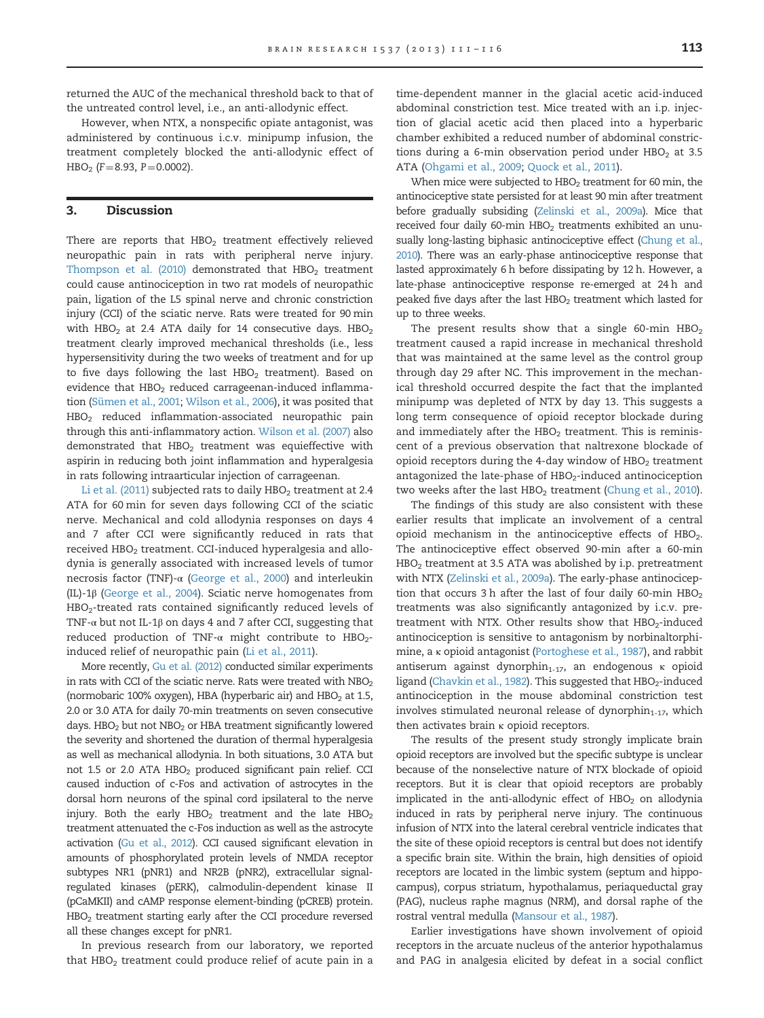returned the AUC of the mechanical threshold back to that of the untreated control level, i.e., an anti-allodynic effect.

However, when NTX, a nonspecific opiate antagonist, was administered by continuous i.c.v. minipump infusion, the treatment completely blocked the anti-allodynic effect of  $HBO<sub>2</sub>$  (F = 8.93, P = 0.0002).

# 3. Discussion

There are reports that  $HBO<sub>2</sub>$  treatment effectively relieved neuropathic pain in rats with peripheral nerve injury. [Thompson et al. \(2010\)](#page-5-0) demonstrated that  $HBO<sub>2</sub>$  treatment could cause antinociception in two rat models of neuropathic pain, ligation of the L5 spinal nerve and chronic constriction injury (CCI) of the sciatic nerve. Rats were treated for 90 min with HBO<sub>2</sub> at 2.4 ATA daily for 14 consecutive days. HBO<sub>2</sub> treatment clearly improved mechanical thresholds (i.e., less hypersensitivity during the two weeks of treatment and for up to five days following the last  $HBO<sub>2</sub>$  treatment). Based on evidence that  $HBO<sub>2</sub>$  reduced carrageenan-induced inflammation ([Sümen et al., 2001](#page-5-0); [Wilson et al., 2006\)](#page-5-0), it was posited that  $HBO<sub>2</sub>$  reduced inflammation-associated neuropathic pain through this anti-inflammatory action. [Wilson et al. \(2007\)](#page-5-0) also demonstrated that  $HBO<sub>2</sub>$  treatment was equieffective with aspirin in reducing both joint inflammation and hyperalgesia in rats following intraarticular injection of carrageenan.

[Li et al. \(2011\)](#page-4-0) subjected rats to daily  $HBO<sub>2</sub>$  treatment at 2.4 ATA for 60 min for seven days following CCI of the sciatic nerve. Mechanical and cold allodynia responses on days 4 and 7 after CCI were significantly reduced in rats that received HBO<sub>2</sub> treatment. CCI-induced hyperalgesia and allodynia is generally associated with increased levels of tumor necrosis factor (TNF)-α ([George et al., 2000](#page-4-0)) and interleukin (IL)-1β [\(George et al., 2004](#page-4-0)). Sciatic nerve homogenates from HBO2-treated rats contained significantly reduced levels of TNF- $\alpha$  but not IL-1 $\beta$  on days 4 and 7 after CCI, suggesting that reduced production of TNF- $\alpha$  might contribute to HBO<sub>2</sub>induced relief of neuropathic pain ([Li et al., 2011](#page-4-0)).

More recently, [Gu et al. \(2012\)](#page-4-0) conducted similar experiments in rats with CCI of the sciatic nerve. Rats were treated with  $NBO<sub>2</sub>$ (normobaric 100% oxygen), HBA (hyperbaric air) and  $HBO<sub>2</sub>$  at 1.5, 2.0 or 3.0 ATA for daily 70-min treatments on seven consecutive days. HBO<sub>2</sub> but not NBO<sub>2</sub> or HBA treatment significantly lowered the severity and shortened the duration of thermal hyperalgesia as well as mechanical allodynia. In both situations, 3.0 ATA but not 1.5 or 2.0 ATA HBO<sub>2</sub> produced significant pain relief. CCI caused induction of c-Fos and activation of astrocytes in the dorsal horn neurons of the spinal cord ipsilateral to the nerve injury. Both the early  $HBO<sub>2</sub>$  treatment and the late  $HBO<sub>2</sub>$ treatment attenuated the c-Fos induction as well as the astrocyte activation [\(Gu et al., 2012](#page-4-0)). CCI caused significant elevation in amounts of phosphorylated protein levels of NMDA receptor subtypes NR1 (pNR1) and NR2B (pNR2), extracellular signalregulated kinases (pERK), calmodulin-dependent kinase II (pCaMKII) and cAMP response element-binding (pCREB) protein. HBO<sub>2</sub> treatment starting early after the CCI procedure reversed all these changes except for pNR1.

In previous research from our laboratory, we reported that  $HBO<sub>2</sub>$  treatment could produce relief of acute pain in a

time-dependent manner in the glacial acetic acid-induced abdominal constriction test. Mice treated with an i.p. injection of glacial acetic acid then placed into a hyperbaric chamber exhibited a reduced number of abdominal constrictions during a 6-min observation period under HBO<sub>2</sub> at 3.5 ATA [\(Ohgami et al., 2009;](#page-4-0) [Quock et al., 2011\)](#page-5-0).

When mice were subjected to  $HBO<sub>2</sub>$  treatment for 60 min, the antinociceptive state persisted for at least 90 min after treatment before gradually subsiding ([Zelinski et al., 2009a](#page-5-0)). Mice that received four daily 60-min HBO<sub>2</sub> treatments exhibited an unu-sually long-lasting biphasic antinociceptive effect ([Chung et al.,](#page-4-0) [2010\)](#page-4-0). There was an early-phase antinociceptive response that lasted approximately 6 h before dissipating by 12 h. However, a late-phase antinociceptive response re-emerged at 24 h and peaked five days after the last HBO<sub>2</sub> treatment which lasted for up to three weeks.

The present results show that a single 60-min  $HBO<sub>2</sub>$ treatment caused a rapid increase in mechanical threshold that was maintained at the same level as the control group through day 29 after NC. This improvement in the mechanical threshold occurred despite the fact that the implanted minipump was depleted of NTX by day 13. This suggests a long term consequence of opioid receptor blockade during and immediately after the  $HBO<sub>2</sub>$  treatment. This is reminiscent of a previous observation that naltrexone blockade of opioid receptors during the 4-day window of  $HBO<sub>2</sub>$  treatment antagonized the late-phase of  $HBO<sub>2</sub>$ -induced antinociception two weeks after the last  $HBO<sub>2</sub>$  treatment [\(Chung et al., 2010](#page-4-0)).

The findings of this study are also consistent with these earlier results that implicate an involvement of a central opioid mechanism in the antinociceptive effects of HBO<sub>2</sub>. The antinociceptive effect observed 90-min after a 60-min HBO2 treatment at 3.5 ATA was abolished by i.p. pretreatment with NTX ([Zelinski et al., 2009a\)](#page-5-0). The early-phase antinociception that occurs 3 h after the last of four daily 60-min  $HBO<sub>2</sub>$ treatments was also significantly antagonized by i.c.v. pretreatment with NTX. Other results show that  $HBO<sub>2</sub>$ -induced antinociception is sensitive to antagonism by norbinaltorphimine, a κ opioid antagonist ([Portoghese et al., 1987](#page-5-0)), and rabbit antiserum against dynorphin<sub>1-17</sub>, an endogenous κ opioid ligand [\(Chavkin et al., 1982\)](#page-4-0). This suggested that  $HBO<sub>2</sub>$ -induced antinociception in the mouse abdominal constriction test involves stimulated neuronal release of dynorphin $_{1-17}$ , which then activates brain κ opioid receptors.

The results of the present study strongly implicate brain opioid receptors are involved but the specific subtype is unclear because of the nonselective nature of NTX blockade of opioid receptors. But it is clear that opioid receptors are probably implicated in the anti-allodynic effect of  $HBO<sub>2</sub>$  on allodynia induced in rats by peripheral nerve injury. The continuous infusion of NTX into the lateral cerebral ventricle indicates that the site of these opioid receptors is central but does not identify a specific brain site. Within the brain, high densities of opioid receptors are located in the limbic system (septum and hippocampus), corpus striatum, hypothalamus, periaqueductal gray (PAG), nucleus raphe magnus (NRM), and dorsal raphe of the rostral ventral medulla [\(Mansour et al., 1987\)](#page-4-0).

Earlier investigations have shown involvement of opioid receptors in the arcuate nucleus of the anterior hypothalamus and PAG in analgesia elicited by defeat in a social conflict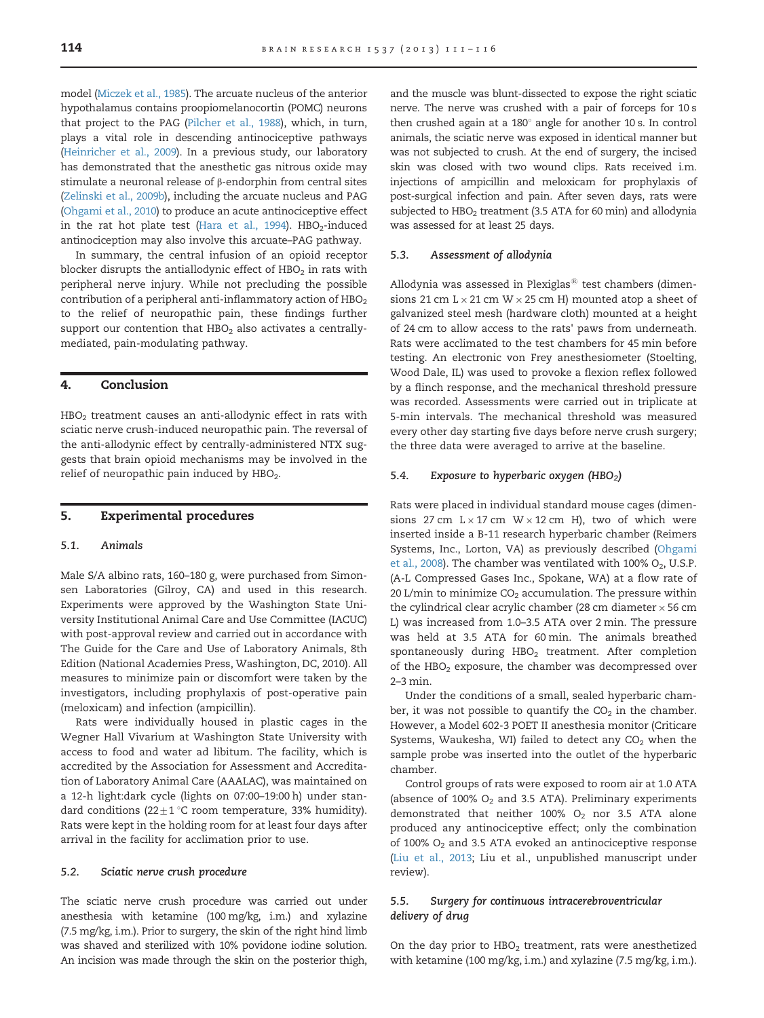model [\(Miczek et al., 1985\)](#page-4-0). The arcuate nucleus of the anterior hypothalamus contains proopiomelanocortin (POMC) neurons that project to the PAG [\(Pilcher et al., 1988\)](#page-5-0), which, in turn, plays a vital role in descending antinociceptive pathways ([Heinricher et al., 2009](#page-4-0)). In a previous study, our laboratory has demonstrated that the anesthetic gas nitrous oxide may stimulate a neuronal release of β-endorphin from central sites ([Zelinski et al., 2009b](#page-5-0)), including the arcuate nucleus and PAG ([Ohgami et al., 2010\)](#page-4-0) to produce an acute antinociceptive effect in the rat hot plate test [\(Hara et al., 1994](#page-4-0)).  $HBO<sub>2</sub>$ -induced antinociception may also involve this arcuate–PAG pathway.

In summary, the central infusion of an opioid receptor blocker disrupts the antiallodynic effect of  $HBO<sub>2</sub>$  in rats with peripheral nerve injury. While not precluding the possible contribution of a peripheral anti-inflammatory action of  $HBO<sub>2</sub>$ to the relief of neuropathic pain, these findings further support our contention that  $HBO<sub>2</sub>$  also activates a centrallymediated, pain-modulating pathway.

# 4. Conclusion

 $HBO<sub>2</sub>$  treatment causes an anti-allodynic effect in rats with sciatic nerve crush-induced neuropathic pain. The reversal of the anti-allodynic effect by centrally-administered NTX suggests that brain opioid mechanisms may be involved in the relief of neuropathic pain induced by  $HBO<sub>2</sub>$ .

# 5. Experimental procedures

#### 5.1. Animals

Male S/A albino rats, 160–180 g, were purchased from Simonsen Laboratories (Gilroy, CA) and used in this research. Experiments were approved by the Washington State University Institutional Animal Care and Use Committee (IACUC) with post-approval review and carried out in accordance with The Guide for the Care and Use of Laboratory Animals, 8th Edition (National Academies Press, Washington, DC, 2010). All measures to minimize pain or discomfort were taken by the investigators, including prophylaxis of post-operative pain (meloxicam) and infection (ampicillin).

Rats were individually housed in plastic cages in the Wegner Hall Vivarium at Washington State University with access to food and water ad libitum. The facility, which is accredited by the Association for Assessment and Accreditation of Laboratory Animal Care (AAALAC), was maintained on a 12-h light:dark cycle (lights on 07:00–19:00 h) under standard conditions (22 $\pm$ 1 °C room temperature, 33% humidity). Rats were kept in the holding room for at least four days after arrival in the facility for acclimation prior to use.

#### 5.2. Sciatic nerve crush procedure

The sciatic nerve crush procedure was carried out under anesthesia with ketamine (100 mg/kg, i.m.) and xylazine (7.5 mg/kg, i.m.). Prior to surgery, the skin of the right hind limb was shaved and sterilized with 10% povidone iodine solution. An incision was made through the skin on the posterior thigh,

and the muscle was blunt-dissected to expose the right sciatic nerve. The nerve was crushed with a pair of forceps for 10 s then crushed again at a  $180^\circ$  angle for another 10 s. In control animals, the sciatic nerve was exposed in identical manner but was not subjected to crush. At the end of surgery, the incised skin was closed with two wound clips. Rats received i.m. injections of ampicillin and meloxicam for prophylaxis of post-surgical infection and pain. After seven days, rats were subjected to  $HBO<sub>2</sub>$  treatment (3.5 ATA for 60 min) and allodynia was assessed for at least 25 days.

#### 5.3. Assessment of allodynia

Allodynia was assessed in Plexiglas $^{\circledR}$  test chambers (dimensions 21 cm  $L \times 21$  cm  $W \times 25$  cm H) mounted atop a sheet of galvanized steel mesh (hardware cloth) mounted at a height of 24 cm to allow access to the rats' paws from underneath. Rats were acclimated to the test chambers for 45 min before testing. An electronic von Frey anesthesiometer (Stoelting, Wood Dale, IL) was used to provoke a flexion reflex followed by a flinch response, and the mechanical threshold pressure was recorded. Assessments were carried out in triplicate at 5-min intervals. The mechanical threshold was measured every other day starting five days before nerve crush surgery; the three data were averaged to arrive at the baseline.

#### 5.4. Exposure to hyperbaric oxygen  $(HBO<sub>2</sub>)$

Rats were placed in individual standard mouse cages (dimensions 27 cm  $L \times 17$  cm  $W \times 12$  cm H), two of which were inserted inside a B-11 research hyperbaric chamber (Reimers Systems, Inc., Lorton, VA) as previously described ([Ohgami](#page-4-0) [et al., 2008](#page-4-0)). The chamber was ventilated with 100%  $O_2$ , U.S.P. (A-L Compressed Gases Inc., Spokane, WA) at a flow rate of 20 L/min to minimize  $CO<sub>2</sub>$  accumulation. The pressure within the cylindrical clear acrylic chamber (28 cm diameter  $\times$  56 cm L) was increased from 1.0–3.5 ATA over 2 min. The pressure was held at 3.5 ATA for 60 min. The animals breathed spontaneously during  $HBO<sub>2</sub>$  treatment. After completion of the  $HBO<sub>2</sub>$  exposure, the chamber was decompressed over 2–3 min.

Under the conditions of a small, sealed hyperbaric chamber, it was not possible to quantify the  $CO<sub>2</sub>$  in the chamber. However, a Model 602-3 POET II anesthesia monitor (Criticare Systems, Waukesha, WI) failed to detect any  $CO<sub>2</sub>$  when the sample probe was inserted into the outlet of the hyperbaric chamber.

Control groups of rats were exposed to room air at 1.0 ATA (absence of 100%  $O<sub>2</sub>$  and 3.5 ATA). Preliminary experiments demonstrated that neither 100%  $O_2$  nor 3.5 ATA alone produced any antinociceptive effect; only the combination of 100%  $O_2$  and 3.5 ATA evoked an antinociceptive response ([Liu et al., 2013;](#page-4-0) Liu et al., unpublished manuscript under review).

# 5.5. Surgery for continuous intracerebroventricular delivery of drug

On the day prior to  $HBO<sub>2</sub>$  treatment, rats were anesthetized with ketamine (100 mg/kg, i.m.) and xylazine (7.5 mg/kg, i.m.).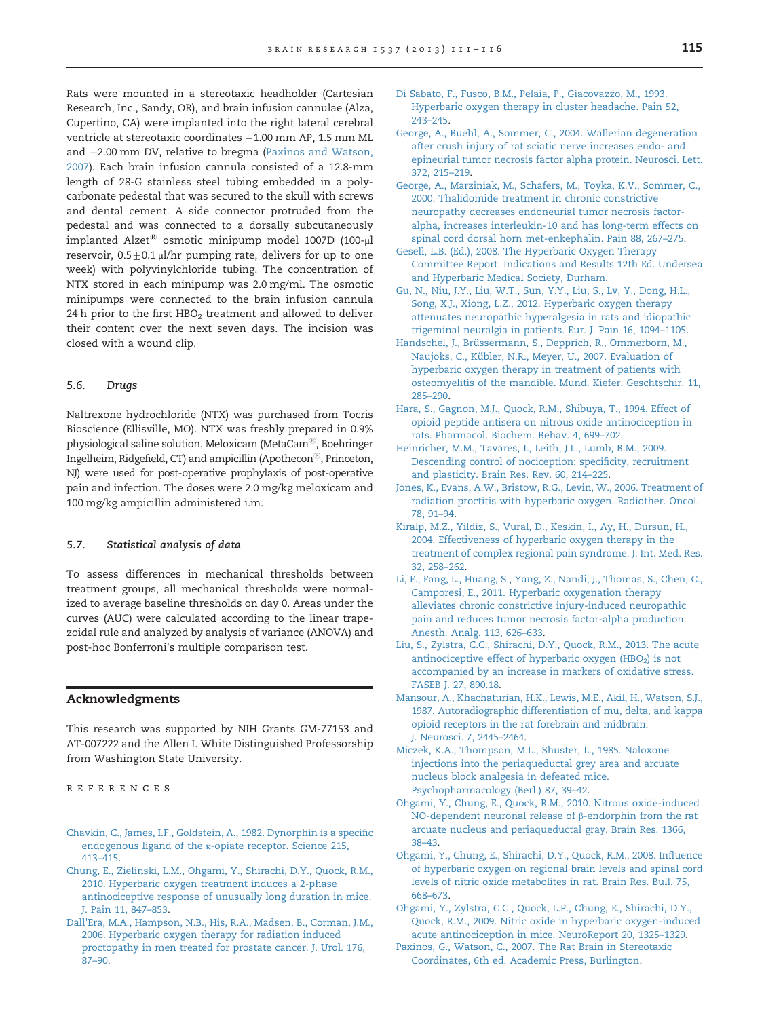<span id="page-4-0"></span>Rats were mounted in a stereotaxic headholder (Cartesian Research, Inc., Sandy, OR), and brain infusion cannulae (Alza, Cupertino, CA) were implanted into the right lateral cerebral ventricle at stereotaxic coordinates -1.00 mm AP, 1.5 mm ML and 2.00 mm DV, relative to bregma (Paxinos and Watson, 2007). Each brain infusion cannula consisted of a 12.8-mm length of 28-G stainless steel tubing embedded in a polycarbonate pedestal that was secured to the skull with screws and dental cement. A side connector protruded from the pedestal and was connected to a dorsally subcutaneously implanted Alzet<sup>®</sup> osmotic minipump model 1007D (100- $\mu$ l reservoir,  $0.5+0.1$  μl/hr pumping rate, delivers for up to one week) with polyvinylchloride tubing. The concentration of NTX stored in each minipump was 2.0 mg/ml. The osmotic minipumps were connected to the brain infusion cannula 24 h prior to the first HBO<sub>2</sub> treatment and allowed to deliver their content over the next seven days. The incision was closed with a wound clip.

#### 5.6. Drugs

Naltrexone hydrochloride (NTX) was purchased from Tocris Bioscience (Ellisville, MO). NTX was freshly prepared in 0.9% physiological saline solution. Meloxicam (MetaCam®, Boehringer Ingelheim, Ridgefield, CT) and ampicillin (Apothecon $\mathcal{B}$ , Princeton, NJ) were used for post-operative prophylaxis of post-operative pain and infection. The doses were 2.0 mg/kg meloxicam and 100 mg/kg ampicillin administered i.m.

#### 5.7. Statistical analysis of data

To assess differences in mechanical thresholds between treatment groups, all mechanical thresholds were normalized to average baseline thresholds on day 0. Areas under the curves (AUC) were calculated according to the linear trapezoidal rule and analyzed by analysis of variance (ANOVA) and post-hoc Bonferroni's multiple comparison test.

# Acknowledgments

This research was supported by NIH Grants GM-77153 and AT-007222 and the Allen I. White Distinguished Professorship from Washington State University.

# references

- [Chavkin, C., James, I.F., Goldstein, A., 1982. Dynorphin is a speci](http://refhub.elsevier.com/S0006-8993(13)01187-6/sbref1)fic endogenous ligand of the κ[-opiate receptor. Science 215,](http://refhub.elsevier.com/S0006-8993(13)01187-6/sbref1) 413–[415.](http://refhub.elsevier.com/S0006-8993(13)01187-6/sbref1)
- [Chung, E., Zielinski, L.M., Ohgami, Y., Shirachi, D.Y., Quock, R.M.,](http://refhub.elsevier.com/S0006-8993(13)01187-6/sbref2) [2010. Hyperbaric oxygen treatment induces a 2-phase](http://refhub.elsevier.com/S0006-8993(13)01187-6/sbref2) [antinociceptive response of unusually long duration in mice.](http://refhub.elsevier.com/S0006-8993(13)01187-6/sbref2) [J. Pain 11, 847](http://refhub.elsevier.com/S0006-8993(13)01187-6/sbref2)–853.
- [Dall'Era, M.A., Hampson, N.B., His, R.A., Madsen, B., Corman, J.M.,](http://refhub.elsevier.com/S0006-8993(13)01187-6/sbref3) [2006. Hyperbaric oxygen therapy for radiation induced](http://refhub.elsevier.com/S0006-8993(13)01187-6/sbref3) [proctopathy in men treated for prostate cancer. J. Urol. 176,](http://refhub.elsevier.com/S0006-8993(13)01187-6/sbref3) 87–[90.](http://refhub.elsevier.com/S0006-8993(13)01187-6/sbref3)
- [Di Sabato, F., Fusco, B.M., Pelaia, P., Giacovazzo, M., 1993.](http://refhub.elsevier.com/S0006-8993(13)01187-6/sbref4) [Hyperbaric oxygen therapy in cluster headache. Pain 52,](http://refhub.elsevier.com/S0006-8993(13)01187-6/sbref4) 243–[245.](http://refhub.elsevier.com/S0006-8993(13)01187-6/sbref4)
- [George, A., Buehl, A., Sommer, C., 2004. Wallerian degeneration](http://refhub.elsevier.com/S0006-8993(13)01187-6/sbref5) [after crush injury of rat sciatic nerve increases endo- and](http://refhub.elsevier.com/S0006-8993(13)01187-6/sbref5) [epineurial tumor necrosis factor alpha protein. Neurosci. Lett.](http://refhub.elsevier.com/S0006-8993(13)01187-6/sbref5) [372, 215](http://refhub.elsevier.com/S0006-8993(13)01187-6/sbref5)–219.
- [George, A., Marziniak, M., Schafers, M., Toyka, K.V., Sommer, C.,](http://refhub.elsevier.com/S0006-8993(13)01187-6/sbref6) [2000. Thalidomide treatment in chronic constrictive](http://refhub.elsevier.com/S0006-8993(13)01187-6/sbref6) [neuropathy decreases endoneurial tumor necrosis factor](http://refhub.elsevier.com/S0006-8993(13)01187-6/sbref6)[alpha, increases interleukin-10 and has long-term effects on](http://refhub.elsevier.com/S0006-8993(13)01187-6/sbref6) [spinal cord dorsal horn met-enkephalin. Pain 88, 267](http://refhub.elsevier.com/S0006-8993(13)01187-6/sbref6)–275.
- [Gesell, L.B. \(Ed.\), 2008. The Hyperbaric Oxygen Therapy](http://refhub.elsevier.com/S0006-8993(13)01187-6/sbref7) [Committee Report: Indications and Results 12th Ed. Undersea](http://refhub.elsevier.com/S0006-8993(13)01187-6/sbref7) [and Hyperbaric Medical Society, Durham.](http://refhub.elsevier.com/S0006-8993(13)01187-6/sbref7)
- [Gu, N., Niu, J.Y., Liu, W.T., Sun, Y.Y., Liu, S., Lv, Y., Dong, H.L.,](http://refhub.elsevier.com/S0006-8993(13)01187-6/sbref8) [Song, X.J., Xiong, L.Z., 2012. Hyperbaric oxygen therapy](http://refhub.elsevier.com/S0006-8993(13)01187-6/sbref8) [attenuates neuropathic hyperalgesia in rats and idiopathic](http://refhub.elsevier.com/S0006-8993(13)01187-6/sbref8) [trigeminal neuralgia in patients. Eur. J. Pain 16, 1094](http://refhub.elsevier.com/S0006-8993(13)01187-6/sbref8)–1105.
- [Handschel, J., Brüssermann, S., Depprich, R., Ommerborn, M.,](http://refhub.elsevier.com/S0006-8993(13)01187-6/sbref9) [Naujoks, C., Kübler, N.R., Meyer, U., 2007. Evaluation of](http://refhub.elsevier.com/S0006-8993(13)01187-6/sbref9) [hyperbaric oxygen therapy in treatment of patients with](http://refhub.elsevier.com/S0006-8993(13)01187-6/sbref9) [osteomyelitis of the mandible. Mund. Kiefer. Geschtschir. 11,](http://refhub.elsevier.com/S0006-8993(13)01187-6/sbref9) 285–[290.](http://refhub.elsevier.com/S0006-8993(13)01187-6/sbref9)
- [Hara, S., Gagnon, M.J., Quock, R.M., Shibuya, T., 1994. Effect of](http://refhub.elsevier.com/S0006-8993(13)01187-6/sbref10) [opioid peptide antisera on nitrous oxide antinociception in](http://refhub.elsevier.com/S0006-8993(13)01187-6/sbref10) [rats. Pharmacol. Biochem. Behav. 4, 699](http://refhub.elsevier.com/S0006-8993(13)01187-6/sbref10)–702.
- [Heinricher, M.M., Tavares, I., Leith, J.L., Lumb, B.M., 2009.](http://refhub.elsevier.com/S0006-8993(13)01187-6/sbref11) [Descending control of nociception: speci](http://refhub.elsevier.com/S0006-8993(13)01187-6/sbref11)ficity, recruitment [and plasticity. Brain Res. Rev. 60, 214](http://refhub.elsevier.com/S0006-8993(13)01187-6/sbref11)–225.
- [Jones, K., Evans, A.W., Bristow, R.G., Levin, W., 2006. Treatment of](http://refhub.elsevier.com/S0006-8993(13)01187-6/sbref12) [radiation proctitis with hyperbaric oxygen. Radiother. Oncol.](http://refhub.elsevier.com/S0006-8993(13)01187-6/sbref12) [78, 91](http://refhub.elsevier.com/S0006-8993(13)01187-6/sbref12)–94.
- [Kiralp, M.Z., Yildiz, S., Vural, D., Keskin, I., Ay, H., Dursun, H.,](http://refhub.elsevier.com/S0006-8993(13)01187-6/sbref13) [2004. Effectiveness of hyperbaric oxygen therapy in the](http://refhub.elsevier.com/S0006-8993(13)01187-6/sbref13) [treatment of complex regional pain syndrome. J. Int. Med. Res.](http://refhub.elsevier.com/S0006-8993(13)01187-6/sbref13) [32, 258](http://refhub.elsevier.com/S0006-8993(13)01187-6/sbref13)–262.
- [Li, F., Fang, L., Huang, S., Yang, Z., Nandi, J., Thomas, S., Chen, C.,](http://refhub.elsevier.com/S0006-8993(13)01187-6/sbref14) [Camporesi, E., 2011. Hyperbaric oxygenation therapy](http://refhub.elsevier.com/S0006-8993(13)01187-6/sbref14) [alleviates chronic constrictive injury-induced neuropathic](http://refhub.elsevier.com/S0006-8993(13)01187-6/sbref14) [pain and reduces tumor necrosis factor-alpha production.](http://refhub.elsevier.com/S0006-8993(13)01187-6/sbref14) [Anesth. Analg. 113, 626](http://refhub.elsevier.com/S0006-8993(13)01187-6/sbref14)–633.
- [Liu, S., Zylstra, C.C., Shirachi, D.Y., Quock, R.M., 2013. The acute](http://refhub.elsevier.com/S0006-8993(13)01187-6/sbref15) antinociceptive effect of hyperbaric oxygen  $(HBO<sub>2</sub>)$  is not [accompanied by an increase in markers of oxidative stress.](http://refhub.elsevier.com/S0006-8993(13)01187-6/sbref15) [FASEB J. 27, 890.18.](http://refhub.elsevier.com/S0006-8993(13)01187-6/sbref15)
- [Mansour, A., Khachaturian, H.K., Lewis, M.E., Akil, H., Watson, S.J.,](http://refhub.elsevier.com/S0006-8993(13)01187-6/sbref16) [1987. Autoradiographic differentiation of mu, delta, and kappa](http://refhub.elsevier.com/S0006-8993(13)01187-6/sbref16) [opioid receptors in the rat forebrain and midbrain.](http://refhub.elsevier.com/S0006-8993(13)01187-6/sbref16) [J. Neurosci. 7, 2445](http://refhub.elsevier.com/S0006-8993(13)01187-6/sbref16)–2464.
- [Miczek, K.A., Thompson, M.L., Shuster, L., 1985. Naloxone](http://refhub.elsevier.com/S0006-8993(13)01187-6/sbref17) [injections into the periaqueductal grey area and arcuate](http://refhub.elsevier.com/S0006-8993(13)01187-6/sbref17) [nucleus block analgesia in defeated mice.](http://refhub.elsevier.com/S0006-8993(13)01187-6/sbref17) [Psychopharmacology \(Berl.\) 87, 39](http://refhub.elsevier.com/S0006-8993(13)01187-6/sbref17)–42.
- [Ohgami, Y., Chung, E., Quock, R.M., 2010. Nitrous oxide-induced](http://refhub.elsevier.com/S0006-8993(13)01187-6/sbref36) [NO-dependent neuronal release of](http://refhub.elsevier.com/S0006-8993(13)01187-6/sbref36) β-endorphin from the rat [arcuate nucleus and periaqueductal gray. Brain Res. 1366,](http://refhub.elsevier.com/S0006-8993(13)01187-6/sbref36) 38–[43.](http://refhub.elsevier.com/S0006-8993(13)01187-6/sbref36)
- [Ohgami, Y., Chung, E., Shirachi, D.Y., Quock, R.M., 2008. In](http://refhub.elsevier.com/S0006-8993(13)01187-6/sbref18)fluence [of hyperbaric oxygen on regional brain levels and spinal cord](http://refhub.elsevier.com/S0006-8993(13)01187-6/sbref18) [levels of nitric oxide metabolites in rat. Brain Res. Bull. 75,](http://refhub.elsevier.com/S0006-8993(13)01187-6/sbref18) 668–[673.](http://refhub.elsevier.com/S0006-8993(13)01187-6/sbref18)
- [Ohgami, Y., Zylstra, C.C., Quock, L.P., Chung, E., Shirachi, D.Y.,](http://refhub.elsevier.com/S0006-8993(13)01187-6/sbref19) [Quock, R.M., 2009. Nitric oxide in hyperbaric oxygen-induced](http://refhub.elsevier.com/S0006-8993(13)01187-6/sbref19) [acute antinociception in mice. NeuroReport 20, 1325](http://refhub.elsevier.com/S0006-8993(13)01187-6/sbref19)–1329.
- [Paxinos, G., Watson, C., 2007. The Rat Brain in Stereotaxic](http://refhub.elsevier.com/S0006-8993(13)01187-6/sbref20) [Coordinates, 6th ed. Academic Press, Burlington.](http://refhub.elsevier.com/S0006-8993(13)01187-6/sbref20)